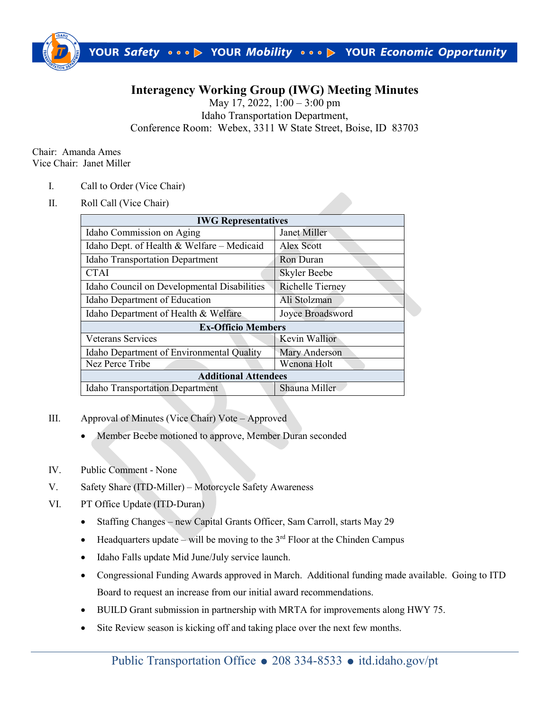

## **Interagency Working Group (IWG) Meeting Minutes**

May 17, 2022, 1:00 – 3:00 pm Idaho Transportation Department, Conference Room: Webex, 3311 W State Street, Boise, ID 83703

Chair: Amanda Ames Vice Chair: Janet Miller

- I. Call to Order (Vice Chair)
- II. Roll Call (Vice Chair)

| <b>IWG Representatives</b>                  |                         |
|---------------------------------------------|-------------------------|
| Idaho Commission on Aging                   | Janet Miller            |
| Idaho Dept. of Health & Welfare - Medicaid  | Alex Scott              |
| <b>Idaho Transportation Department</b>      | Ron Duran               |
| <b>CTAI</b>                                 | <b>Skyler Beebe</b>     |
| Idaho Council on Developmental Disabilities | <b>Richelle Tierney</b> |
| Idaho Department of Education               | Ali Stolzman            |
| Idaho Department of Health & Welfare        | Joyce Broadsword        |
| <b>Ex-Officio Members</b>                   |                         |
| <b>Veterans Services</b>                    | <b>Kevin Wallior</b>    |
| Idaho Department of Environmental Quality   | Mary Anderson           |
| Nez Perce Tribe                             | Wenona Holt             |
| <b>Additional Attendees</b>                 |                         |
| <b>Idaho Transportation Department</b>      | Shauna Miller           |

- III. Approval of Minutes (Vice Chair) Vote Approved
	- Member Beebe motioned to approve, Member Duran seconded
- IV. Public Comment None
- V. Safety Share (ITD-Miller) Motorcycle Safety Awareness
- VI. PT Office Update (ITD-Duran)
	- Staffing Changes new Capital Grants Officer, Sam Carroll, starts May 29
	- Headquarters update will be moving to the  $3<sup>rd</sup>$  Floor at the Chinden Campus
	- Idaho Falls update Mid June/July service launch.
	- Congressional Funding Awards approved in March. Additional funding made available. Going to ITD Board to request an increase from our initial award recommendations.
	- BUILD Grant submission in partnership with MRTA for improvements along HWY 75.
	- Site Review season is kicking off and taking place over the next few months.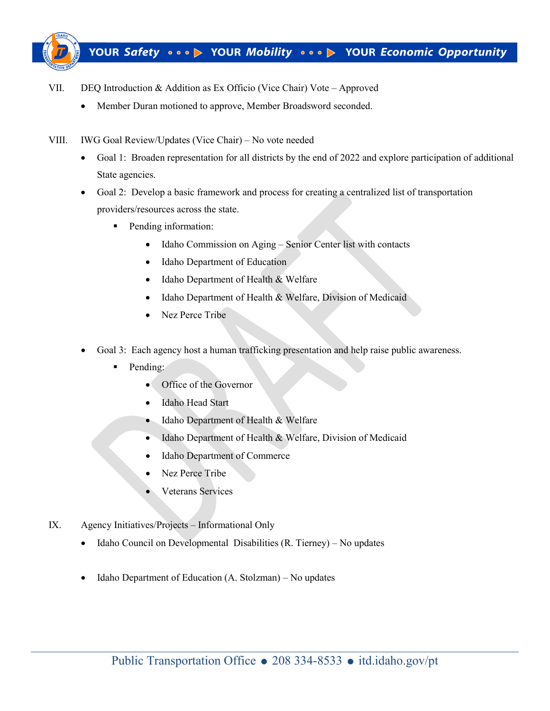

- VII. DEQ Introduction & Addition as Ex Officio (Vice Chair) Vote Approved
	- Member Duran motioned to approve, Member Broadsword seconded.
- VIII. IWG Goal Review/Updates (Vice Chair) No vote needed
	- Goal 1: Broaden representation for all districts by the end of 2022 and explore participation of additional State agencies.
	- Goal 2: Develop a basic framework and process for creating a centralized list of transportation providers/resources across the state.
		- **Pending information:** 
			- Idaho Commission on Aging Senior Center list with contacts
			- Idaho Department of Education
			- Idaho Department of Health & Welfare
			- Idaho Department of Health & Welfare, Division of Medicaid
			- Nez Perce Tribe
	- Goal 3: Each agency host a human trafficking presentation and help raise public awareness.
		- Pending:
			- Office of the Governor
			- Idaho Head Start
			- Idaho Department of Health & Welfare
			- Idaho Department of Health & Welfare, Division of Medicaid
			- Idaho Department of Commerce
			- Nez Perce Tribe
			- Veterans Services
- IX. Agency Initiatives/Projects Informational Only
	- Idaho Council on Developmental Disabilities (R. Tierney) No updates
	- Idaho Department of Education (A. Stolzman) No updates